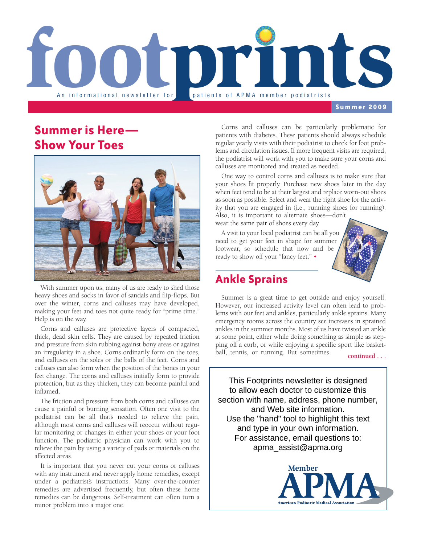

**Summer 2009**

## **Summer is Here— Show Your Toes**



With summer upon us, many of us are ready to shed those heavy shoes and socks in favor of sandals and flip-flops. But over the winter, corns and calluses may have developed, making your feet and toes not quite ready for "prime time." Help is on the way.

Corns and calluses are protective layers of compacted, thick, dead skin cells. They are caused by repeated friction and pressure from skin rubbing against bony areas or against an irregularity in a shoe. Corns ordinarily form on the toes, and calluses on the soles or the balls of the feet. Corns and calluses can also form when the position of the bones in your feet change. The corns and calluses initially form to provide protection, but as they thicken, they can become painful and inflamed.

The friction and pressure from both corns and calluses can cause a painful or burning sensation. Often one visit to the podiatrist can be all that's needed to relieve the pain, although most corns and calluses will reoccur without regular monitoring or changes in either your shoes or your foot function. The podiatric physician can work with you to relieve the pain by using a variety of pads or materials on the affected areas.

It is important that you never cut your corns or calluses with any instrument and never apply home remedies, except under a podiatrist's instructions. Many over-the-counter remedies are advertised frequently, but often these home remedies can be dangerous. Self-treatment can often turn a minor problem into a major one.

Corns and calluses can be particularly problematic for patients with diabetes. These patients should always schedule regular yearly visits with their podiatrist to check for foot problems and circulation issues. If more frequent visits are required, the podiatrist will work with you to make sure your corns and calluses are monitored and treated as needed.

One way to control corns and calluses is to make sure that your shoes fit properly. Purchase new shoes later in the day when feet tend to be at their largest and replace worn-out shoes as soon as possible. Select and wear the right shoe for the activity that you are engaged in (i.e., running shoes for running). Also, it is important to alternate shoes—don't

wear the same pair of shoes every day.

A visit to your local podiatrist can be all you need to get your feet in shape for summer footwear, so schedule that now and be ready to show off your "fancy feet." •

## **Ankle Sprains**

Summer is a great time to get outside and enjoy yourself. However, our increased activity level can often lead to problems with our feet and ankles, particularly ankle sprains. Many emergency rooms across the country see increases in sprained ankles in the summer months. Most of us have twisted an ankle at some point, either while doing something as simple as stepping off a curb, or while enjoying a specific sport like basketball, tennis, or running. But sometimes

**continued . . .**

This Footprints newsletter is designed to allow each doctor to customize this section with name, address, phone number, and Web site information. Use the "hand" tool to highlight this text and type in your own information. For assistance, email questions to: apma\_assist@apma.org